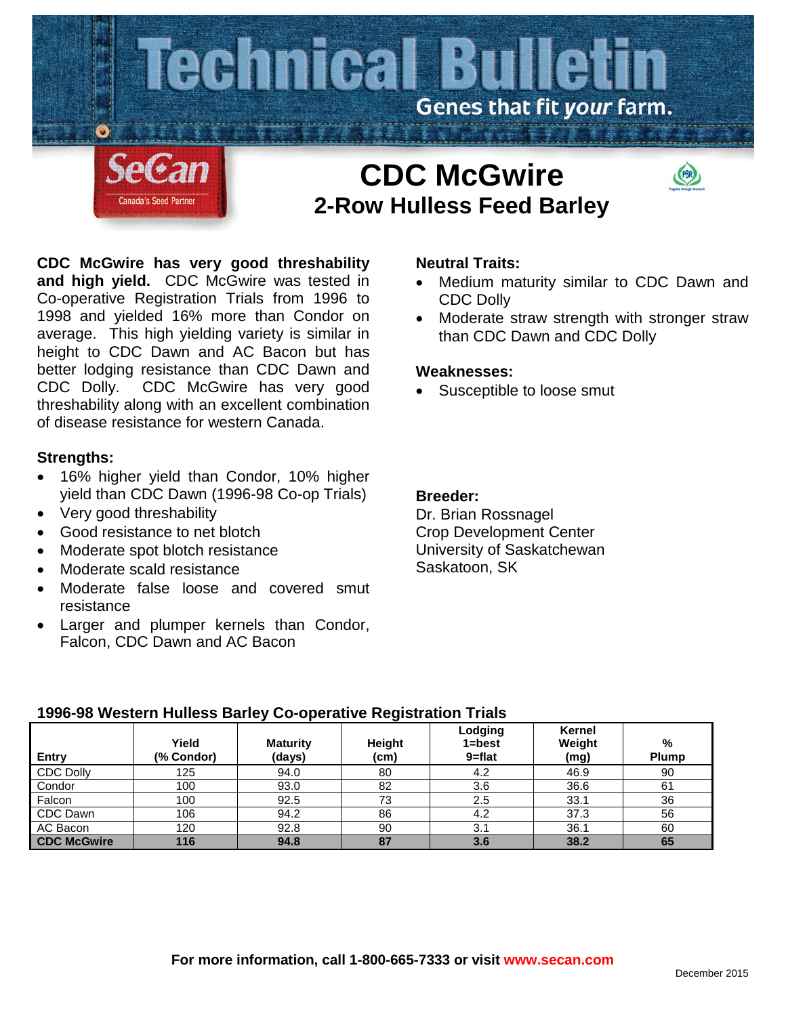

# **CDC McGwire has very good threshability and high yield.** CDC McGwire was tested in Co-operative Registration Trials from 1996 to 1998 and yielded 16% more than Condor on average. This high yielding variety is similar in height to CDC Dawn and AC Bacon but has better lodging resistance than CDC Dawn and CDC Dolly. CDC McGwire has very good threshability along with an excellent combination of disease resistance for western Canada.

## **Strengths:**

- 16% higher yield than Condor, 10% higher yield than CDC Dawn (1996-98 Co-op Trials)
- Very good threshability
- Good resistance to net blotch
- Moderate spot blotch resistance
- Moderate scald resistance
- Moderate false loose and covered smut resistance
- Larger and plumper kernels than Condor, Falcon, CDC Dawn and AC Bacon

## **Neutral Traits:**

- Medium maturity similar to CDC Dawn and CDC Dolly
- Moderate straw strength with stronger straw than CDC Dawn and CDC Dolly

### **Weaknesses:**

Susceptible to loose smut

### **Breeder:**

Dr. Brian Rossnagel Crop Development Center University of Saskatchewan Saskatoon, SK

## **1996-98 Western Hulless Barley Co-operative Registration Trials**

| <b>Entry</b>       | Yield<br>(% Condor) | <b>Maturity</b><br>(days) | <b>Height</b><br>(cm) | Lodging<br>$1 = best$<br>9=flat | Kernel<br>Weight<br>(mg) | $\%$<br><b>Plump</b> |
|--------------------|---------------------|---------------------------|-----------------------|---------------------------------|--------------------------|----------------------|
| <b>CDC Dolly</b>   | 125                 | 94.0                      | 80                    | 4.2                             | 46.9                     | 90                   |
| Condor             | 100                 | 93.0                      | 82                    | 3.6                             | 36.6                     | 61                   |
| Falcon             | 100                 | 92.5                      | 73                    | 2.5                             | 33.1                     | 36                   |
| CDC Dawn           | 106                 | 94.2                      | 86                    | 4.2                             | 37.3                     | 56                   |
| AC Bacon           | 120                 | 92.8                      | 90                    | 3.1                             | 36.1                     | 60                   |
| <b>CDC McGwire</b> | 116                 | 94.8                      | 87                    | 3.6                             | 38.2                     | 65                   |